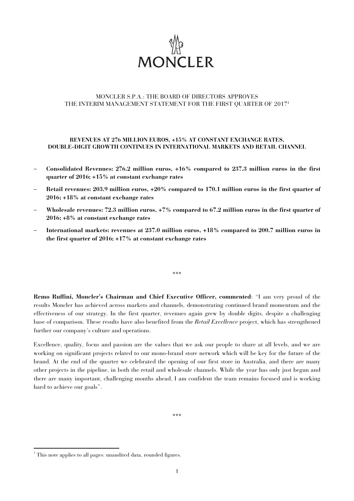

# MONCLER S.P.A.: THE BOARD OF DIRECTORS APPROVES THE INTERIM MANAGEMENT STATEMENT FOR THE FIRST QUARTER OF 2017<sup>1</sup>

# **REVENUES AT 276 MILLION EUROS, +15% AT CONSTANT EXCHANGE RATES, DOUBLE-DIGIT GROWTH CONTINUES IN INTERNATIONAL MARKETS AND RETAIL CHANNEL**

- − **Consolidated Revenues: 276.2 million euros, +16% compared to 237.3 million euros in the first quarter of 2016; +15% at constant exchange rates**
- − **Retail revenues: 203.9 million euros, +20% compared to 170.1 million euros in the first quarter of 2016; +18% at constant exchange rates**
- − **Wholesale revenues: 72.3 million euros, +7% compared to 67.2 million euros in the first quarter of 2016; +8% at constant exchange rates**
- − **International markets: revenues at 237.0 million euros, +18% compared to 200.7 million euros in the first quarter of 2016; +17% at constant exchange rates**

\*\*\*

**Remo Ruffini, Moncler's Chairman and Chief Executive Officer, commented**: "I am very proud of the results Moncler has achieved across markets and channels, demonstrating continued brand momentum and the effectiveness of our strategy. In the first quarter, revenues again grew by double digits, despite a challenging base of comparison. These results have also benefited from the *Retail Excellence* project, which has strengthened further our company's culture and operations.

Excellence, quality, focus and passion are the values that we ask our people to share at all levels, and we are working on significant projects related to our mono-brand store network which will be key for the future of the brand. At the end of the quarter we celebrated the opening of our first store in Australia, and there are many other projects in the pipeline, in both the retail and wholesale channels. While the year has only just begun and there are many important, challenging months ahead, I am confident the team remains focused and is working hard to achieve our goals".

\*\*\*

 1 This note applies to all pages: unaudited data, rounded figures.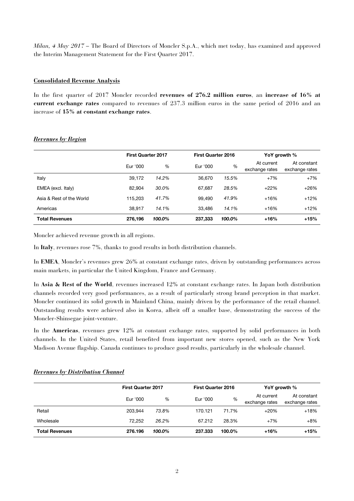*Milan, 4 May 2017* – The Board of Directors of Moncler S.p.A., which met today, has examined and approved the Interim Management Statement for the First Quarter 2017.

# **Consolidated Revenue Analysis**

In the first quarter of 2017 Moncler recorded **revenues of 276.2 million euros**, an **increase of 16% at current exchange rates** compared to revenues of 237.3 million euros in the same period of 2016 and an increase of **15% at constant exchange rates**.

|                          | <b>First Quarter 2017</b> |        | <b>First Quarter 2016</b> |        | YoY growth %                 |                               |
|--------------------------|---------------------------|--------|---------------------------|--------|------------------------------|-------------------------------|
|                          | Eur '000                  | %      | Eur '000                  | $\%$   | At current<br>exchange rates | At constant<br>exchange rates |
| Italy                    | 39,172                    | 14.2%  | 36,670                    | 15.5%  | $+7%$                        | $+7%$                         |
| EMEA (excl. Italy)       | 82.904                    | 30.0%  | 67.687                    | 28.5%  | $+22%$                       | $+26%$                        |
| Asia & Rest of the World | 115,203                   | 41.7%  | 99.490                    | 41.9%  | $+16%$                       | $+12%$                        |
| Americas                 | 38.917                    | 14.1%  | 33.486                    | 14.1%  | $+16%$                       | $+12%$                        |
| <b>Total Revenues</b>    | 276,196                   | 100.0% | 237,333                   | 100.0% | $+16%$                       | $+15%$                        |

# *Revenues by Region*

Moncler achieved revenue growth in all regions.

In **Italy**, revenues rose 7%, thanks to good results in both distribution channels.

In **EMEA**, Moncler's revenues grew 26% at constant exchange rates, driven by outstanding performances across main markets, in particular the United Kingdom, France and Germany.

In **Asia & Rest of the World**, revenues increased 12% at constant exchange rates. In Japan both distribution channels recorded very good performances, as a result of particularly strong brand perception in that market. Moncler continued its solid growth in Mainland China, mainly driven by the performance of the retail channel. Outstanding results were achieved also in Korea, albeit off a smaller base, demonstrating the success of the Moncler-Shinsegae joint-venture.

In the **Americas**, revenues grew 12% at constant exchange rates, supported by solid performances in both channels. In the United States, retail benefited from important new stores opened, such as the New York Madison Avenue flagship. Canada continues to produce good results, particularly in the wholesale channel.

|                       |          | <b>First Quarter 2017</b> |          | <b>First Quarter 2016</b> |                              | YoY growth %                  |  |
|-----------------------|----------|---------------------------|----------|---------------------------|------------------------------|-------------------------------|--|
|                       | Eur '000 | %                         | Eur '000 | %                         | At current<br>exchange rates | At constant<br>exchange rates |  |
| Retail                | 203.944  | 73.8%                     | 170.121  | 71.7%                     | $+20%$                       | $+18%$                        |  |
| Wholesale             | 72.252   | 26.2%                     | 67.212   | 28.3%                     | $+7%$                        | $+8%$                         |  |
| <b>Total Revenues</b> | 276.196  | 100.0%                    | 237.333  | 100.0%                    | $+16%$                       | $+15%$                        |  |

### *Revenues by Distribution Channel*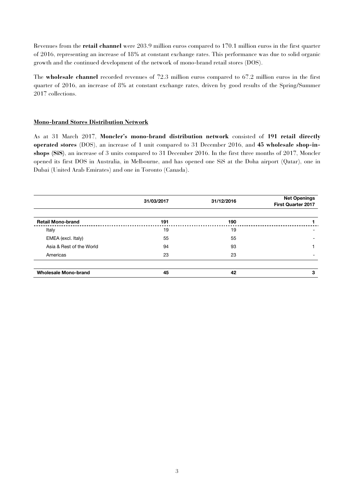Revenues from the **retail channel** were 203.9 million euros compared to 170.1 million euros in the first quarter of 2016, representing an increase of 18% at constant exchange rates. This performance was due to solid organic growth and the continued development of the network of mono-brand retail stores (DOS).

The **wholesale channel** recorded revenues of 72.3 million euros compared to 67.2 million euros in the first quarter of 2016, an increase of 8% at constant exchange rates, driven by good results of the Spring/Summer 2017 collections.

# **Mono-brand Stores Distribution Network**

As at 31 March 2017, **Moncler's mono-brand distribution network** consisted of **191 retail directly operated stores** (DOS), an increase of 1 unit compared to 31 December 2016, and **45 wholesale shop-inshops (SiS)**, an increase of 3 units compared to 31 December 2016. In the first three months of 2017, Moncler opened its first DOS in Australia, in Melbourne, and has opened one SiS at the Doha airport (Qatar), one in Dubai (United Arab Emirates) and one in Toronto (Canada).

|                             | 31/03/2017 | 31/12/2016 | <b>Net Openings</b><br><b>First Quarter 2017</b> |
|-----------------------------|------------|------------|--------------------------------------------------|
| <b>Retail Mono-brand</b>    | 191        | 190        |                                                  |
| Italy                       | 19         | 19         |                                                  |
| EMEA (excl. Italy)          | 55         | 55         |                                                  |
| Asia & Rest of the World    | 94         | 93         |                                                  |
| Americas                    | 23         | 23         |                                                  |
| <b>Wholesale Mono-brand</b> | 45         | 42         | 3                                                |